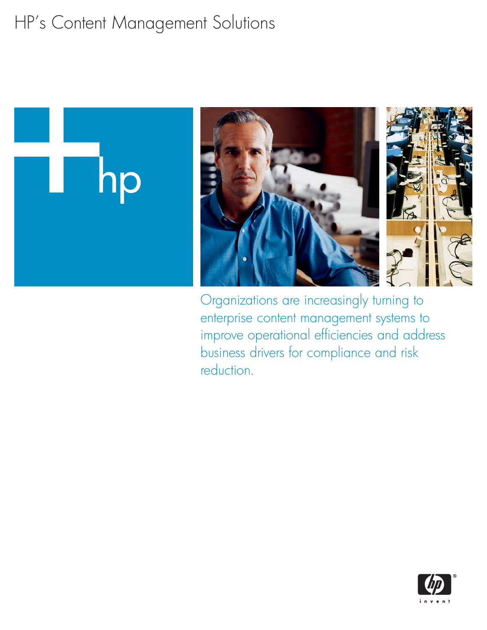# HP's Content Management Solutions



Organizations are increasingly turning to enterprise content management systems to improve operational efficiencies and address business drivers for compliance and risk reduction.

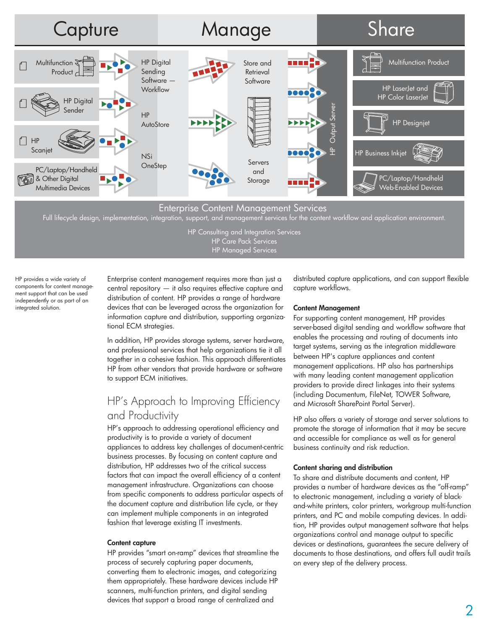

## Enterprise Content Management Services

Full lifecycle design, implementation, integration, support, and management services for the content workflow and application environment.

HP Consulting and Integration Services HP Care Pack Services HP Managed Services

HP provides a wide variety of components for content management support that can be used independently or as part of an integrated solution.

Enterprise content management requires more than just a central repository — it also requires effective capture and distribution of content. HP provides a range of hardware devices that can be leveraged across the organization for information capture and distribution, supporting organizational ECM strategies.

In addition, HP provides storage systems, server hardware, and professional services that help organizations tie it all together in a cohesive fashion. This approach differentiates HP from other vendors that provide hardware or software to support ECM initiatives.

# HP's Approach to Improving Efficiency and Productivity

HP's approach to addressing operational efficiency and productivity is to provide a variety of document appliances to address key challenges of document-centric business processes. By focusing on content capture and distribution, HP addresses two of the critical success factors that can impact the overall efficiency of a content management infrastructure. Organizations can choose from specific components to address particular aspects of the document capture and distribution life cycle, or they can implement multiple components in an integrated fashion that leverage existing IT investments.

#### Content capture

HP provides "smart on-ramp" devices that streamline the process of securely capturing paper documents, converting them to electronic images, and categorizing them appropriately. These hardware devices include HP scanners, multi-function printers, and digital sending devices that support a broad range of centralized and

distributed capture applications, and can support flexible capture workflows.

#### Content Management

For supporting content management, HP provides server-based digital sending and workflow software that enables the processing and routing of documents into target systems, serving as the integration middleware between HP's capture appliances and content management applications. HP also has partnerships with many leading content management application providers to provide direct linkages into their systems (including Documentum, FileNet, TOWER Software, and Microsoft SharePoint Portal Server).

HP also offers a variety of storage and server solutions to promote the storage of information that it may be secure and accessible for compliance as well as for general business continuity and risk reduction.

#### Content sharing and distribution

To share and distribute documents and content, HP provides a number of hardware devices as the "off-ramp" to electronic management, including a variety of blackand-white printers, color printers, workgroup multi-function printers, and PC and mobile computing devices. In addition, HP provides output management software that helps organizations control and manage output to specific devices or destinations, guarantees the secure delivery of documents to those destinations, and offers full audit trails on every step of the delivery process.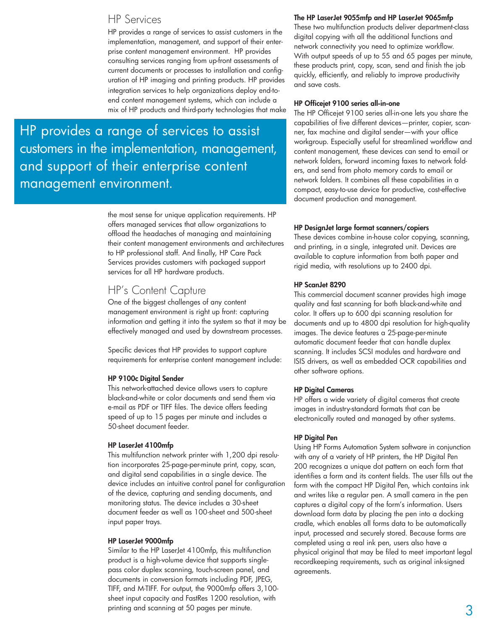# HP Services

HP provides a range of services to assist customers in the implementation, management, and support of their enterprise content management environment. HP provides consulting services ranging from up-front assessments of current documents or processes to installation and configuration of HP imaging and printing products. HP provides integration services to help organizations deploy end-toend content management systems, which can include a mix of HP products and third-party technologies that make

HP provides a range of services to assist customers in the implementation, management, and support of their enterprise content management environment.

> the most sense for unique application requirements. HP offers managed services that allow organizations to offload the headaches of managing and maintaining their content management environments and architectures to HP professional staff. And finally, HP Care Pack Services provides customers with packaged support services for all HP hardware products.

# HP's Content Capture

One of the biggest challenges of any content management environment is right up front: capturing information and getting it into the system so that it may be effectively managed and used by downstream processes.

Specific devices that HP provides to support capture requirements for enterprise content management include:

## HP 9100c Digital Sender

This network-attached device allows users to capture black-and-white or color documents and send them via e-mail as PDF or TIFF files. The device offers feeding speed of up to 15 pages per minute and includes a 50-sheet document feeder.

## HP LaserJet 4100mfp

This multifunction network printer with 1,200 dpi resolution incorporates 25-page-per-minute print, copy, scan, and digital send capabilities in a single device. The device includes an intuitive control panel for configuration of the device, capturing and sending documents, and monitoring status. The device includes a 30-sheet document feeder as well as 100-sheet and 500-sheet input paper trays.

#### HP LaserJet 9000mfp

Similar to the HP LaserJet 4100mfp, this multifunction product is a high-volume device that supports singlepass color duplex scanning, touch-screen panel, and documents in conversion formats including PDF, JPEG, TIFF, and M-TIFF. For output, the 9000mfp offers 3,100 sheet input capacity and FastRes 1200 resolution, with printing and scanning at 50 pages per minute.

## The HP LaserJet 9055mfp and HP LaserJet 9065mfp

These two multifunction products deliver department-class digital copying with all the additional functions and network connectivity you need to optimize workflow. With output speeds of up to 55 and 65 pages per minute, these products print, copy, scan, send and finish the job quickly, efficiently, and reliably to improve productivity and save costs.

#### HP Officejet 9100 series all-in-one

The HP Officejet 9100 series all-in-one lets you share the capabilities of five different devices—printer, copier, scanner, fax machine and digital sender—with your office workgroup. Especially useful for streamlined workflow and content management, these devices can send to email or network folders, forward incoming faxes to network folders, and send from photo memory cards to email or network folders. It combines all these capabilities in a compact, easy-to-use device for productive, cost-effective document production and management.

## HP DesignJet large format scanners/copiers

These devices combine in-house color copying, scanning, and printing, in a single, integrated unit. Devices are available to capture information from both paper and rigid media, with resolutions up to 2400 dpi.

#### HP ScanJet 8290

This commercial document scanner provides high image quality and fast scanning for both black-and-white and color. It offers up to 600 dpi scanning resolution for documents and up to 4800 dpi resolution for high-quality images. The device features a 25-page-per-minute automatic document feeder that can handle duplex scanning. It includes SCSI modules and hardware and ISIS drivers, as well as embedded OCR capabilities and other software options.

#### HP Digital Cameras

HP offers a wide variety of digital cameras that create images in industry-standard formats that can be electronically routed and managed by other systems.

## HP Digital Pen

Using HP Forms Automation System software in conjunction with any of a variety of HP printers, the HP Digital Pen 200 recognizes a unique dot pattern on each form that identifies a form and its content fields. The user fills out the form with the compact HP Digital Pen, which contains ink and writes like a regular pen. A small camera in the pen captures a digital copy of the form's information. Users download form data by placing the pen into a docking cradle, which enables all forms data to be automatically input, processed and securely stored. Because forms are completed using a real ink pen, users also have a physical original that may be filed to meet important legal recordkeeping requirements, such as original ink-signed agreements.